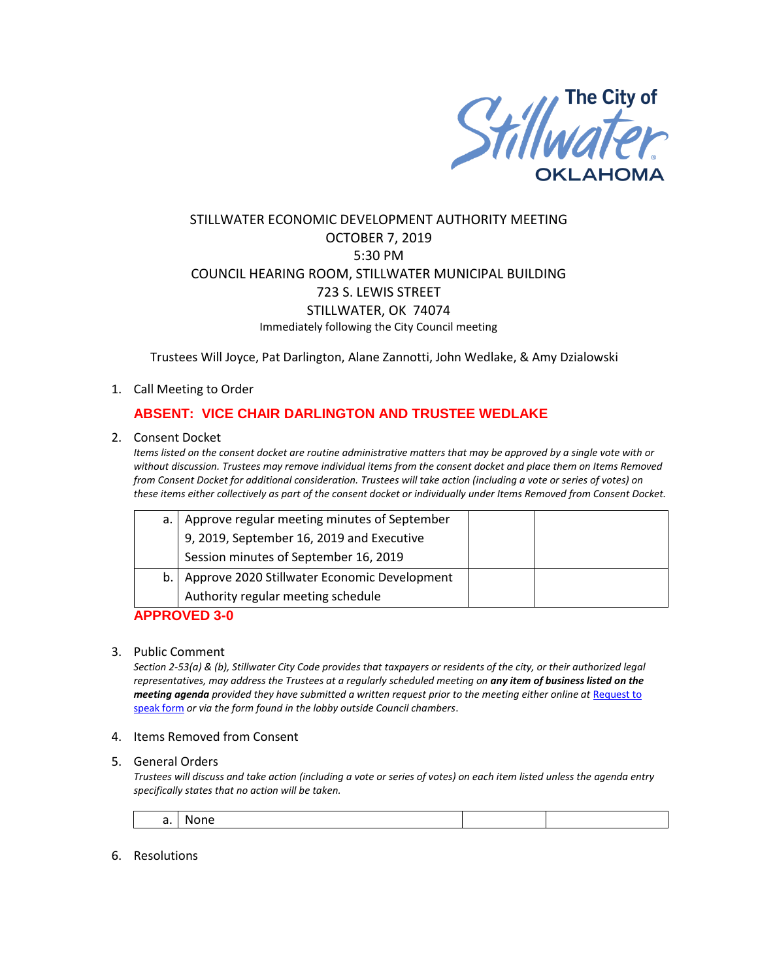

# STILLWATER ECONOMIC DEVELOPMENT AUTHORITY MEETING OCTOBER 7, 2019 5:30 PM COUNCIL HEARING ROOM, STILLWATER MUNICIPAL BUILDING 723 S. LEWIS STREET STILLWATER, OK 74074 Immediately following the City Council meeting

Trustees Will Joyce, Pat Darlington, Alane Zannotti, John Wedlake, & Amy Dzialowski

### 1. Call Meeting to Order

## **ABSENT: VICE CHAIR DARLINGTON AND TRUSTEE WEDLAKE**

### 2. Consent Docket

*Items listed on the consent docket are routine administrative matters that may be approved by a single vote with or without discussion. Trustees may remove individual items from the consent docket and place them on Items Removed from Consent Docket for additional consideration. Trustees will take action (including a vote or series of votes) on these items either collectively as part of the consent docket or individually under Items Removed from Consent Docket.*

| a.1 | Approve regular meeting minutes of September |
|-----|----------------------------------------------|
|     | 9, 2019, September 16, 2019 and Executive    |
|     | Session minutes of September 16, 2019        |
| b.1 | Approve 2020 Stillwater Economic Development |
|     | Authority regular meeting schedule           |

## **APPROVED 3-0**

### 3. Public Comment

*Section 2-53(a) & (b), Stillwater City Code provides that taxpayers or residents of the city, or their authorized legal representatives, may address the Trustees at a regularly scheduled meeting on any item of business listed on the meeting agenda provided they have submitted a written request prior to the meeting either online at Request to* [speak form](http://stillwater.org/page/home/government/mayor-city-council/meetings-agendas-minutes/online-request-to-speak-at-city-council) *or via the form found in the lobby outside Council chambers*.

4. Items Removed from Consent

### 5. General Orders

*Trustees will discuss and take action (including a vote or series of votes) on each item listed unless the agenda entry specifically states that no action will be taken.*

### 6. Resolutions